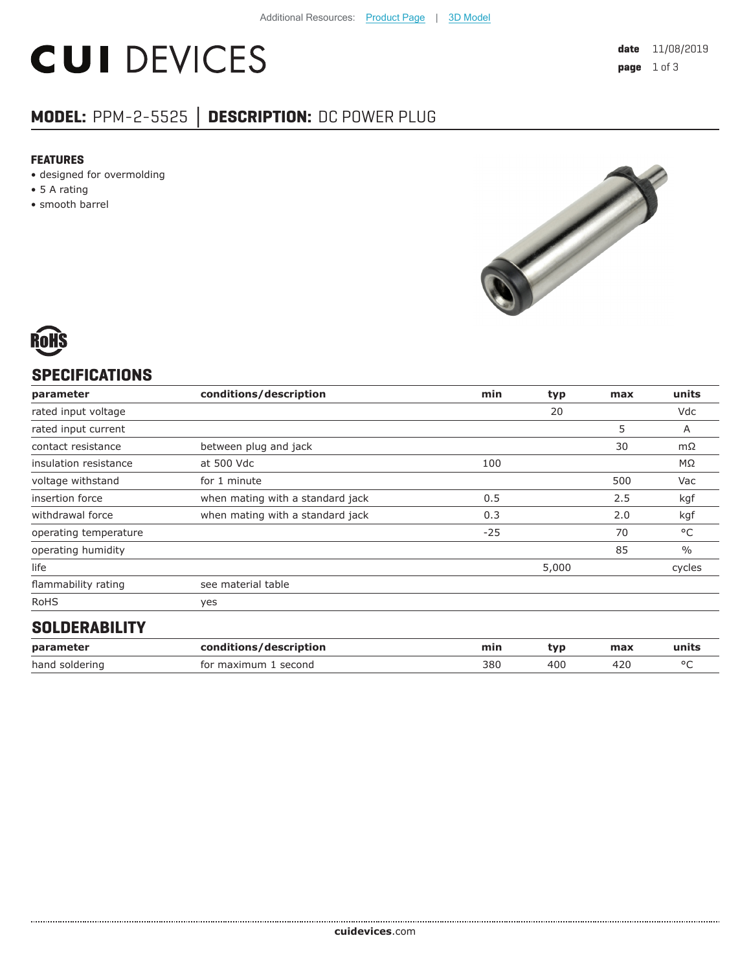# **CUI DEVICES**

# **MODEL:** PPM-2-5525 **│ DESCRIPTION:** DC POWER PLUG

#### **FEATURES**

- designed for overmolding
- 5 A rating
- smooth barrel



# **SPECIFICATIONS**

| parameter             | conditions/description           | min   | typ   | max | units         |
|-----------------------|----------------------------------|-------|-------|-----|---------------|
| rated input voltage   |                                  |       | 20    |     | Vdc           |
| rated input current   |                                  |       |       | 5   | A             |
| contact resistance    | between plug and jack            |       |       | 30  | mΩ            |
| insulation resistance | at 500 Vdc                       | 100   |       |     | $M\Omega$     |
| voltage withstand     | for 1 minute                     |       |       | 500 | Vac           |
| insertion force       | when mating with a standard jack | 0.5   |       | 2.5 | kgf           |
| withdrawal force      | when mating with a standard jack | 0.3   |       | 2.0 | kgf           |
| operating temperature |                                  | $-25$ |       | 70  | °C            |
| operating humidity    |                                  |       |       | 85  | $\frac{0}{0}$ |
| life                  |                                  |       | 5,000 |     | cycles        |
| flammability rating   | see material table               |       |       |     |               |
| <b>RoHS</b>           | yes                              |       |       |     |               |
| <b>AAI BEBIBU IEV</b> |                                  |       |       |     |               |

### **SOLDERABILITY**

| parameter      | conditions/description | mir. | tvr | max | units |
|----------------|------------------------|------|-----|-----|-------|
| hand soldering | for maximum<br>second  | 380  | 40C |     |       |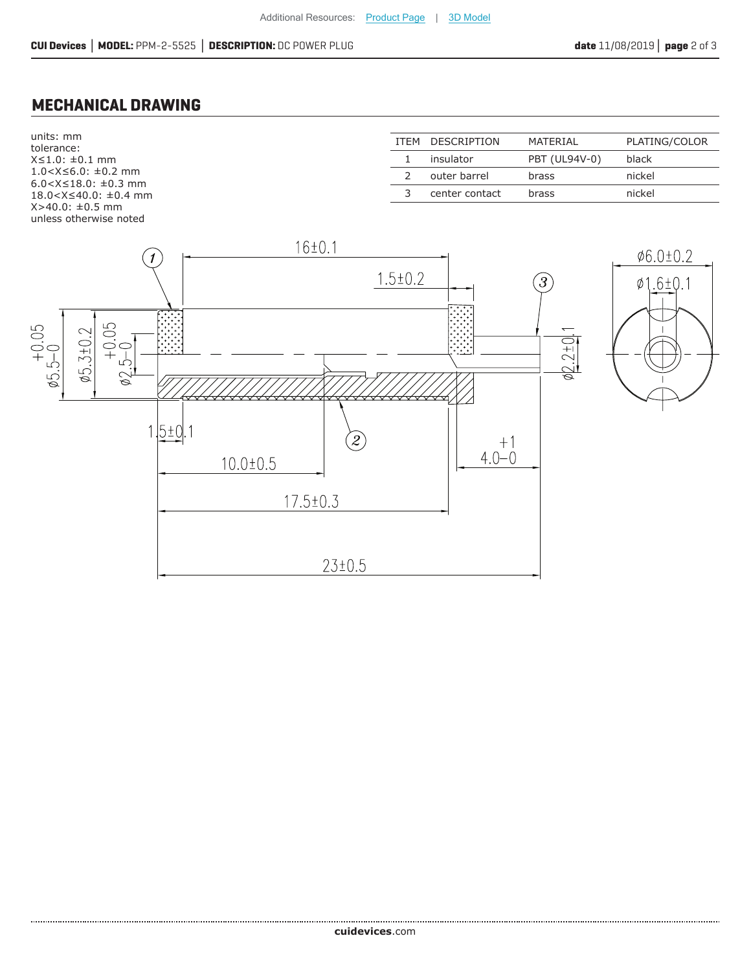## **MECHANICAL DRAWING**

units: mm tolerance: X≤1.0: ±0.1 mm 1.0<X≤6.0: ±0.2 mm 6.0<X≤18.0: ±0.3 mm 18.0<X≤40.0: ±0.4 mm X>40.0: ±0.5 mm unless otherwise noted ITEM DESCRIPTION MATERIAL PLATING/COLOR 1 insulator PBT (UL94V-0) black 2 outer barrel brass mickel 3 center contact brass nickel